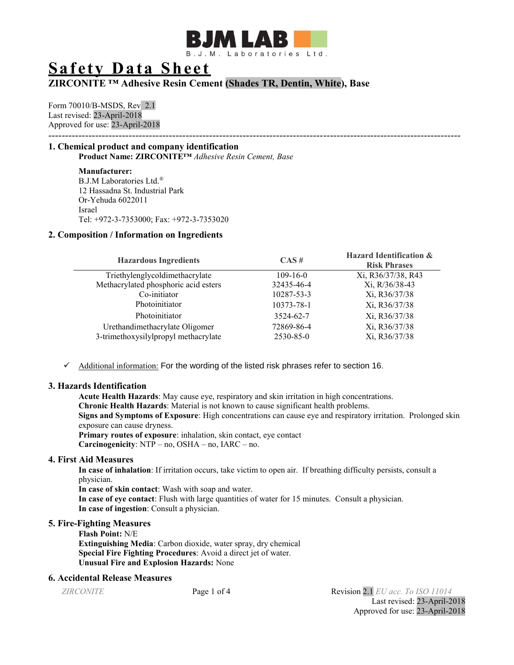

# **Safety Data Sheet**

# **ZIRCONITE ™ Adhesive Resin Cement (Shades TR, Dentin, White), Base**

Form 70010/B-MSDS, Rev 2.1 Last revised: 23-April-2018 Approved for use: 23-April-2018 ---------------------------------------------------------------------------------------------------------------------------

# **1. Chemical product and company identification Product Name: ZIRCONITE™** *Adhesive Resin Cement, Base*

**Manufacturer:** B.J.M Laboratories Ltd.® 12 Hassadna St. Industrial Park Or-Yehuda 6022011 Israel Tel: +972-3-7353000; Fax: +972-3-7353020

# **2. Composition / Information on Ingredients**

| <b>Hazardous Ingredients</b>         | $CAS \#$       | <b>Hazard Identification &amp;</b><br><b>Risk Phrases</b> |
|--------------------------------------|----------------|-----------------------------------------------------------|
| Triethylenglycoldimethacrylate       | $109 - 16 - 0$ | Xi, R36/37/38, R43                                        |
| Methacrylated phosphoric acid esters | 32435-46-4     | Xi, R/36/38-43                                            |
| Co-initiator                         | 10287-53-3     | Xi, R36/37/38                                             |
| Photoinitiator                       | 10373-78-1     | Xi, R36/37/38                                             |
| Photoinitiator                       | 3524-62-7      | Xi, R36/37/38                                             |
| Urethandimethacrylate Oligomer       | 72869-86-4     | Xi, R36/37/38                                             |
| 3-trimethoxysilylpropyl methacrylate | 2530-85-0      | Xi, R36/37/38                                             |

 $\checkmark$  Additional information: For the wording of the listed risk phrases refer to section 16.

# **3. Hazards Identification**

**Acute Health Hazards**: May cause eye, respiratory and skin irritation in high concentrations. **Chronic Health Hazards**: Material is not known to cause significant health problems. **Signs and Symptoms of Exposure**: High concentrations can cause eye and respiratory irritation. Prolonged skin exposure can cause dryness. **Primary routes of exposure**: inhalation, skin contact, eye contact **Carcinogenicity:** NTP – no, OSHA – no, IARC – no.

# **4. First Aid Measures**

**In case of inhalation**: If irritation occurs, take victim to open air. If breathing difficulty persists, consult a physician.

**In case of skin contact**: Wash with soap and water.

**In case of eye contact**: Flush with large quantities of water for 15 minutes. Consult a physician. **In case of ingestion**: Consult a physician.

# **5. Fire-Fighting Measures**

**Flash Point:** N/E **Extinguishing Media**: Carbon dioxide, water spray, dry chemical **Special Fire Fighting Procedures**: Avoid a direct jet of water. **Unusual Fire and Explosion Hazards:** None

# **6. Accidental Release Measures**

*ZIRCONITE* Page 1 of 4 Revision 2.1 *EU acc. To ISO 11014* Last revised: 23-April-2018 Approved for use: 23-April-2018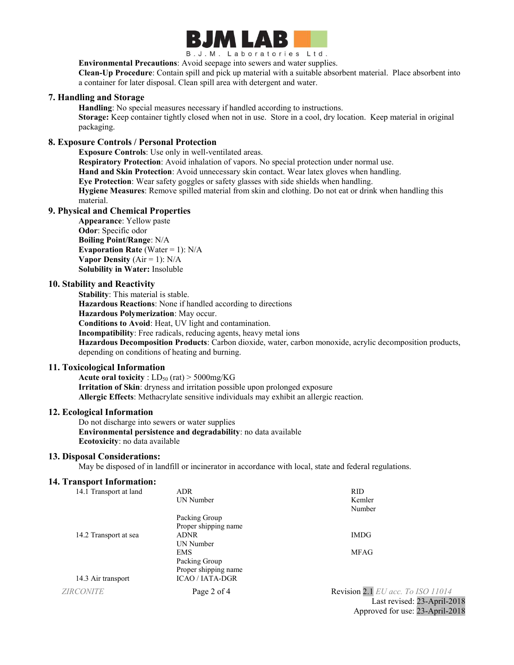

B.J.M. Laboratories Ltd.

**Environmental Precautions**: Avoid seepage into sewers and water supplies.

**Clean-Up Procedure**: Contain spill and pick up material with a suitable absorbent material. Place absorbent into a container for later disposal. Clean spill area with detergent and water.

# **7. Handling and Storage**

**Handling**: No special measures necessary if handled according to instructions.

**Storage:** Keep container tightly closed when not in use. Store in a cool, dry location. Keep material in original packaging.

### **8. Exposure Controls / Personal Protection**

**Exposure Controls**: Use only in well-ventilated areas.

**Respiratory Protection**: Avoid inhalation of vapors. No special protection under normal use.

**Hand and Skin Protection**: Avoid unnecessary skin contact. Wear latex gloves when handling.

**Eye Protection**: Wear safety goggles or safety glasses with side shields when handling.

**Hygiene Measures**: Remove spilled material from skin and clothing. Do not eat or drink when handling this material.

# **9. Physical and Chemical Properties**

**Appearance**: Yellow paste **Odor**: Specific odor **Boiling Point/Range**: N/A **Evaporation Rate** (Water  $= 1$ ): N/A **Vapor Density**  $(Air = 1)$ :  $N/A$ **Solubility in Water:** Insoluble

#### **10. Stability and Reactivity**

**Stability**: This material is stable. **Hazardous Reactions**: None if handled according to directions **Hazardous Polymerization**: May occur. **Conditions to Avoid**: Heat, UV light and contamination. **Incompatibility**: Free radicals, reducing agents, heavy metal ions **Hazardous Decomposition Products**: Carbon dioxide, water, carbon monoxide, acrylic decomposition products, depending on conditions of heating and burning.

#### **11. Toxicological Information**

**Acute oral toxicity** :  $LD_{50}$  (rat)  $>$  5000mg/KG **Irritation of Skin**: dryness and irritation possible upon prolonged exposure **Allergic Effects**: Methacrylate sensitive individuals may exhibit an allergic reaction.

### **12. Ecological Information**

Do not discharge into sewers or water supplies **Environmental persistence and degradability**: no data available **Ecotoxicity**: no data available

#### **13. Disposal Considerations:**

May be disposed of in landfill or incinerator in accordance with local, state and federal regulations.

#### **14. Transport Information:**

| 14.1 Transport at land | <b>ADR</b>             | RID              |
|------------------------|------------------------|------------------|
|                        | UN Number              | Kemler           |
|                        |                        | Number           |
|                        | Packing Group          |                  |
|                        | Proper shipping name   |                  |
| 14.2 Transport at sea  | <b>ADNR</b>            | <b>IMDG</b>      |
|                        | <b>UN Number</b>       |                  |
|                        | <b>EMS</b>             | <b>MFAG</b>      |
|                        | Packing Group          |                  |
|                        | Proper shipping name   |                  |
| 14.3 Air transport     | <b>ICAO / IATA-DGR</b> |                  |
| <b>ZIRCONITE</b>       | Page 2 of 4            | Revision 2.1 $E$ |
|                        |                        | Las              |

*<i>Z acc. To ISO 11014* st revised: 23-April-2018 Approved for use: 23-April-2018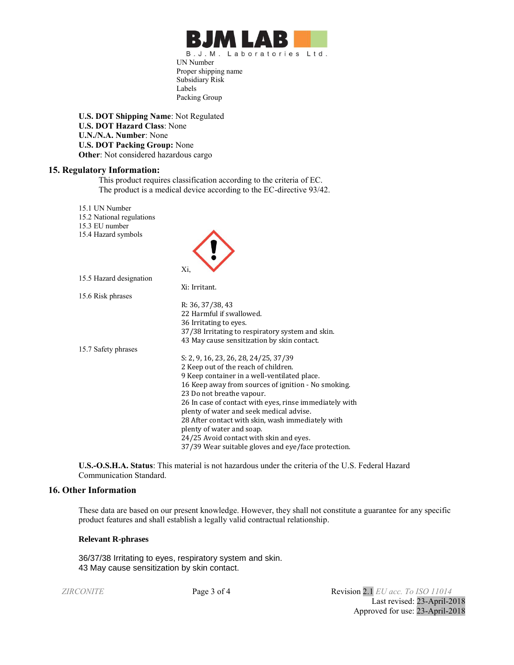

UN Number Proper shipping name Subsidiary Risk Labels Packing Group

**U.S. DOT Shipping Name**: Not Regulated **U.S. DOT Hazard Class**: None **U.N./N.A. Number**: None **U.S. DOT Packing Group:** None **Other**: Not considered hazardous cargo

#### **15. Regulatory Information:**

This product requires classification according to the criteria of EC. The product is a medical device according to the EC-directive 93/42.

A

15.1 UN Number

- 15.2 National regulations
- 15.3 EU number 15.4 Hazard symbols
- 

| 19.4 Hazaru syllibois   |                                                         |
|-------------------------|---------------------------------------------------------|
|                         | Xi,                                                     |
| 15.5 Hazard designation |                                                         |
|                         | Xi: Irritant.                                           |
| 15.6 Risk phrases       |                                                         |
|                         | R: 36, 37/38, 43                                        |
|                         | 22 Harmful if swallowed.                                |
|                         | 36 Irritating to eyes.                                  |
|                         | 37/38 Irritating to respiratory system and skin.        |
|                         | 43 May cause sensitization by skin contact.             |
| 15.7 Safety phrases     |                                                         |
|                         | S: 2, 9, 16, 23, 26, 28, 24/25, 37/39                   |
|                         | 2 Keep out of the reach of children.                    |
|                         | 9 Keep container in a well-ventilated place.            |
|                         | 16 Keep away from sources of ignition - No smoking.     |
|                         | 23 Do not breathe vapour.                               |
|                         | 26 In case of contact with eyes, rinse immediately with |
|                         | plenty of water and seek medical advise.                |
|                         | 28 After contact with skin, wash immediately with       |
|                         | plenty of water and soap.                               |
|                         | 24/25 Avoid contact with skin and eyes.                 |
|                         | 37/39 Wear suitable gloves and eye/face protection.     |

**U.S.-O.S.H.A. Status**: This material is not hazardous under the criteria of the U.S. Federal Hazard Communication Standard.

#### **16. Other Information**

These data are based on our present knowledge. However, they shall not constitute a guarantee for any specific product features and shall establish a legally valid contractual relationship.

#### **Relevant R-phrases**

36/37/38 Irritating to eyes, respiratory system and skin. 43 May cause sensitization by skin contact.

*ZIRCONITE* Page 3 of 4 Revision 2.1 *EU acc. To ISO 11014* Last revised: 23-April-2018 Approved for use: 23-April-2018